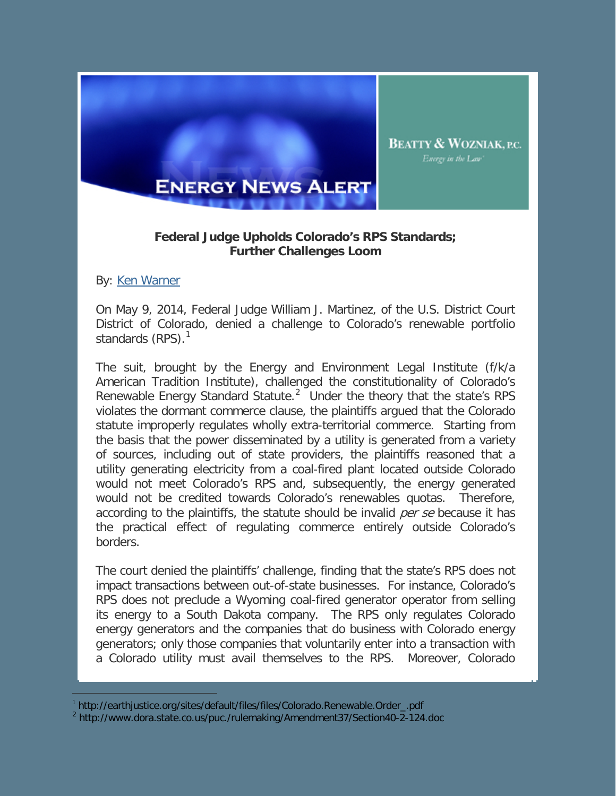

## **Federal Judge Upholds Colorado's RPS Standards; Further Challenges Loom**

By: [Ken Warner](http://www.bwenergylaw.com/Attorneys/KWarner.asp)

ł

On May 9, 2014, Federal Judge William J. Martinez, of the U.S. District Court District of Colorado, denied a challenge to Colorado's renewable portfolio standards  $(RPS)$ .<sup>[1](#page-0-0)</sup>

The suit, brought by the Energy and Environment Legal Institute (f/k/a American Tradition Institute), challenged the constitutionality of Colorado's Renewable Energy Standard Statute.<sup>[2](#page-0-1)</sup> Under the theory that the state's RPS violates the dormant commerce clause, the plaintiffs argued that the Colorado statute improperly regulates wholly extra-territorial commerce. Starting from the basis that the power disseminated by a utility is generated from a variety of sources, including out of state providers, the plaintiffs reasoned that a utility generating electricity from a coal-fired plant located outside Colorado would not meet Colorado's RPS and, subsequently, the energy generated would not be credited towards Colorado's renewables quotas. Therefore, according to the plaintiffs, the statute should be invalid *per se* because it has the practical effect of regulating commerce entirely outside Colorado's borders.

The court denied the plaintiffs' challenge, finding that the state's RPS does not impact transactions between out-of-state businesses. For instance, Colorado's RPS does not preclude a Wyoming coal-fired generator operator from selling its energy to a South Dakota company. The RPS only regulates Colorado energy generators and the companies that do business with Colorado energy generators; only those companies that voluntarily enter into a transaction with a Colorado utility must avail themselves to the RPS. Moreover, Colorado

<sup>1</sup> http://earthjustice.org/sites/default/files/files/Colorado.Renewable.Order\_.pdf

<span id="page-0-1"></span><span id="page-0-0"></span><sup>2</sup> http://www.dora.state.co.us/puc./rulemaking/Amendment37/Section40-2-124.doc